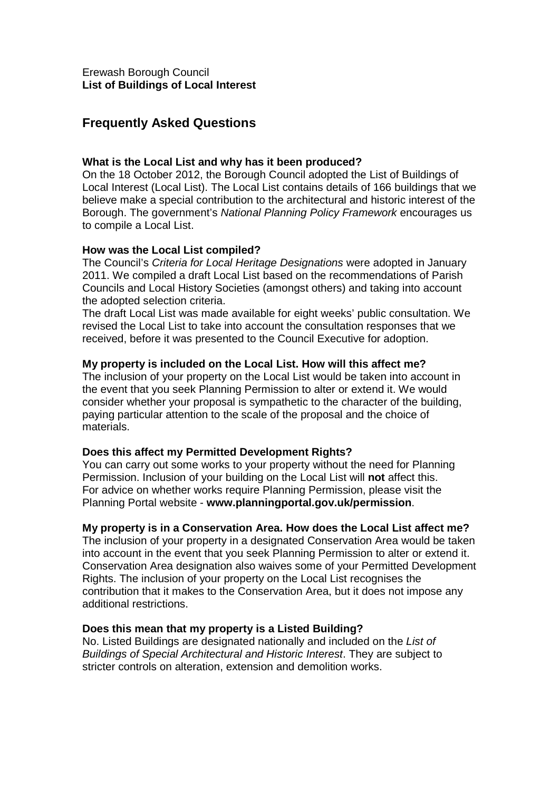# **Frequently Asked Questions**

## **What is the Local List and why has it been produced?**

On the 18 October 2012, the Borough Council adopted the List of Buildings of Local Interest (Local List). The Local List contains details of 166 buildings that we believe make a special contribution to the architectural and historic interest of the Borough. The government's National Planning Policy Framework encourages us to compile a Local List.

# **How was the Local List compiled?**

The Council's Criteria for Local Heritage Designations were adopted in January 2011. We compiled a draft Local List based on the recommendations of Parish Councils and Local History Societies (amongst others) and taking into account the adopted selection criteria.

The draft Local List was made available for eight weeks' public consultation. We revised the Local List to take into account the consultation responses that we received, before it was presented to the Council Executive for adoption.

#### **My property is included on the Local List. How will this affect me?**

The inclusion of your property on the Local List would be taken into account in the event that you seek Planning Permission to alter or extend it. We would consider whether your proposal is sympathetic to the character of the building, paying particular attention to the scale of the proposal and the choice of materials.

#### **Does this affect my Permitted Development Rights?**

You can carry out some works to your property without the need for Planning Permission. Inclusion of your building on the Local List will **not** affect this. For advice on whether works require Planning Permission, please visit the Planning Portal website - **www.planningportal.gov.uk/permission**.

#### **My property is in a Conservation Area. How does the Local List affect me?**

The inclusion of your property in a designated Conservation Area would be taken into account in the event that you seek Planning Permission to alter or extend it. Conservation Area designation also waives some of your Permitted Development Rights. The inclusion of your property on the Local List recognises the contribution that it makes to the Conservation Area, but it does not impose any additional restrictions.

#### **Does this mean that my property is a Listed Building?**

No. Listed Buildings are designated nationally and included on the List of Buildings of Special Architectural and Historic Interest. They are subject to stricter controls on alteration, extension and demolition works.